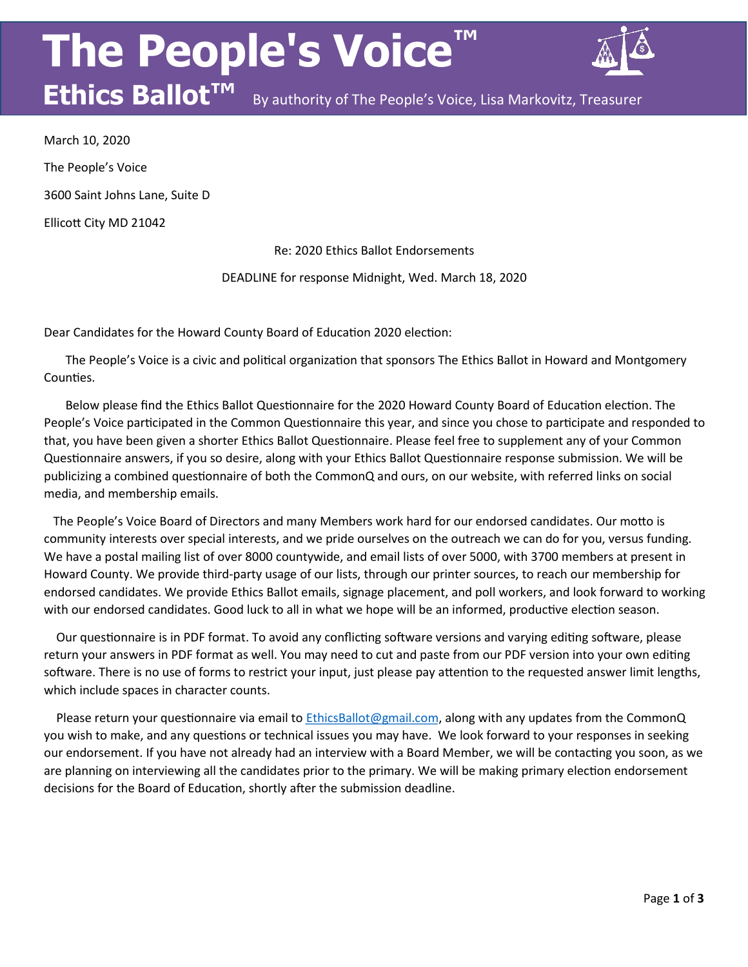## **The People's Voice**



**Ethics Ballot™** By authority of The People's Voice, Lisa Markovitz, Treasurer

March 10, 2020 The People's Voice 3600 Saint Johns Lane, Suite D Ellicott City MD 21042

Re: 2020 Ethics Ballot Endorsements

DEADLINE for response Midnight, Wed. March 18, 2020

Dear Candidates for the Howard County Board of Education 2020 election:

 The People's Voice is a civic and political organization that sponsors The Ethics Ballot in Howard and Montgomery Counties.

 Below please find the Ethics Ballot Questionnaire for the 2020 Howard County Board of Education election. The People's Voice participated in the Common Questionnaire this year, and since you chose to participate and responded to that, you have been given a shorter Ethics Ballot Questionnaire. Please feel free to supplement any of your Common Questionnaire answers, if you so desire, along with your Ethics Ballot Questionnaire response submission. We will be publicizing a combined questionnaire of both the CommonQ and ours, on our website, with referred links on social media, and membership emails.

 The People's Voice Board of Directors and many Members work hard for our endorsed candidates. Our motto is community interests over special interests, and we pride ourselves on the outreach we can do for you, versus funding. We have a postal mailing list of over 8000 countywide, and email lists of over 5000, with 3700 members at present in Howard County. We provide third-party usage of our lists, through our printer sources, to reach our membership for endorsed candidates. We provide Ethics Ballot emails, signage placement, and poll workers, and look forward to working with our endorsed candidates. Good luck to all in what we hope will be an informed, productive election season.

 Our questionnaire is in PDF format. To avoid any conflicting software versions and varying editing software, please return your answers in PDF format as well. You may need to cut and paste from our PDF version into your own editing software. There is no use of forms to restrict your input, just please pay attention to the requested answer limit lengths, which include spaces in character counts.

Please return your questionnaire via email to *EthicsBallot@gmail.com*, along with any updates from the CommonQ you wish to make, and any questions or technical issues you may have. We look forward to your responses in seeking our endorsement. If you have not already had an interview with a Board Member, we will be contacting you soon, as we are planning on interviewing all the candidates prior to the primary. We will be making primary election endorsement decisions for the Board of Education, shortly after the submission deadline.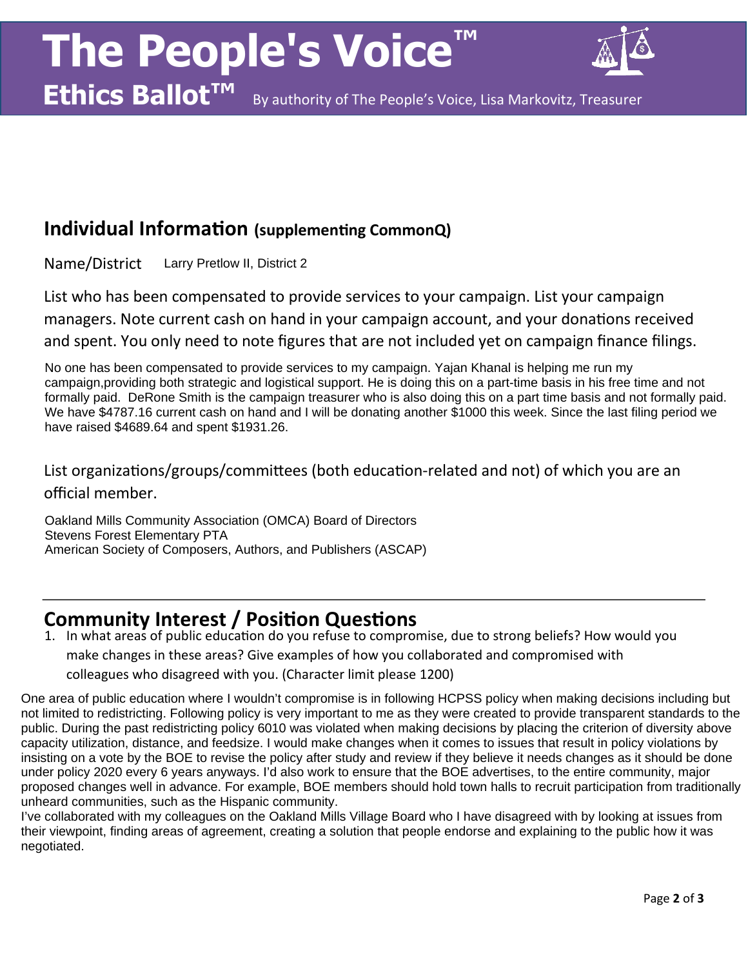

**Ethics Ballot™** By authority of The People's Voice, Lisa Markovitz, Treasurer

## **Individual Information (supplementing CommonQ)**

Name/District Larry Pretlow II, District 2

List who has been compensated to provide services to your campaign. List your campaign managers. Note current cash on hand in your campaign account, and your donations received and spent. You only need to note figures that are not included yet on campaign finance filings.

No one has been compensated to provide services to my campaign. Yajan Khanal is helping me run my campaign,providing both strategic and logistical support. He is doing this on a part-time basis in his free time and not formally paid. DeRone Smith is the campaign treasurer who is also doing this on a part time basis and not formally paid. We have \$4787.16 current cash on hand and I will be donating another \$1000 this week. Since the last filing period we have raised \$4689.64 and spent \$1931.26.

List organizations/groups/committees (both education-related and not) of which you are an official member.

Oakland Mills Community Association (OMCA) Board of Directors Stevens Forest Elementary PTA American Society of Composers, Authors, and Publishers (ASCAP)

## **Community Interest / Position Questions**

1. In what areas of public education do you refuse to compromise, due to strong beliefs? How would you make changes in these areas? Give examples of how you collaborated and compromised with colleagues who disagreed with you. (Character limit please 1200)

One area of public education where I wouldn't compromise is in following HCPSS policy when making decisions including but not limited to redistricting. Following policy is very important to me as they were created to provide transparent standards to the public. During the past redistricting policy 6010 was violated when making decisions by placing the criterion of diversity above capacity utilization, distance, and feedsize. I would make changes when it comes to issues that result in policy violations by insisting on a vote by the BOE to revise the policy after study and review if they believe it needs changes as it should be done under policy 2020 every 6 years anyways. I'd also work to ensure that the BOE advertises, to the entire community, major proposed changes well in advance. For example, BOE members should hold town halls to recruit participation from traditionally unheard communities, such as the Hispanic community.

I've collaborated with my colleagues on the Oakland Mills Village Board who I have disagreed with by looking at issues from their viewpoint, finding areas of agreement, creating a solution that people endorse and explaining to the public how it was negotiated.